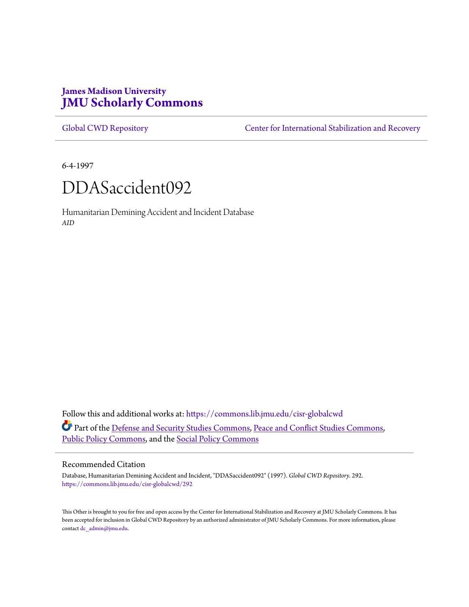# **James Madison University [JMU Scholarly Commons](https://commons.lib.jmu.edu?utm_source=commons.lib.jmu.edu%2Fcisr-globalcwd%2F292&utm_medium=PDF&utm_campaign=PDFCoverPages)**

[Global CWD Repository](https://commons.lib.jmu.edu/cisr-globalcwd?utm_source=commons.lib.jmu.edu%2Fcisr-globalcwd%2F292&utm_medium=PDF&utm_campaign=PDFCoverPages) **[Center for International Stabilization and Recovery](https://commons.lib.jmu.edu/cisr?utm_source=commons.lib.jmu.edu%2Fcisr-globalcwd%2F292&utm_medium=PDF&utm_campaign=PDFCoverPages)** 

6-4-1997



Humanitarian Demining Accident and Incident Database *AID*

Follow this and additional works at: [https://commons.lib.jmu.edu/cisr-globalcwd](https://commons.lib.jmu.edu/cisr-globalcwd?utm_source=commons.lib.jmu.edu%2Fcisr-globalcwd%2F292&utm_medium=PDF&utm_campaign=PDFCoverPages) Part of the [Defense and Security Studies Commons](http://network.bepress.com/hgg/discipline/394?utm_source=commons.lib.jmu.edu%2Fcisr-globalcwd%2F292&utm_medium=PDF&utm_campaign=PDFCoverPages), [Peace and Conflict Studies Commons](http://network.bepress.com/hgg/discipline/397?utm_source=commons.lib.jmu.edu%2Fcisr-globalcwd%2F292&utm_medium=PDF&utm_campaign=PDFCoverPages), [Public Policy Commons,](http://network.bepress.com/hgg/discipline/400?utm_source=commons.lib.jmu.edu%2Fcisr-globalcwd%2F292&utm_medium=PDF&utm_campaign=PDFCoverPages) and the [Social Policy Commons](http://network.bepress.com/hgg/discipline/1030?utm_source=commons.lib.jmu.edu%2Fcisr-globalcwd%2F292&utm_medium=PDF&utm_campaign=PDFCoverPages)

### Recommended Citation

Database, Humanitarian Demining Accident and Incident, "DDASaccident092" (1997). *Global CWD Repository*. 292. [https://commons.lib.jmu.edu/cisr-globalcwd/292](https://commons.lib.jmu.edu/cisr-globalcwd/292?utm_source=commons.lib.jmu.edu%2Fcisr-globalcwd%2F292&utm_medium=PDF&utm_campaign=PDFCoverPages)

This Other is brought to you for free and open access by the Center for International Stabilization and Recovery at JMU Scholarly Commons. It has been accepted for inclusion in Global CWD Repository by an authorized administrator of JMU Scholarly Commons. For more information, please contact [dc\\_admin@jmu.edu.](mailto:dc_admin@jmu.edu)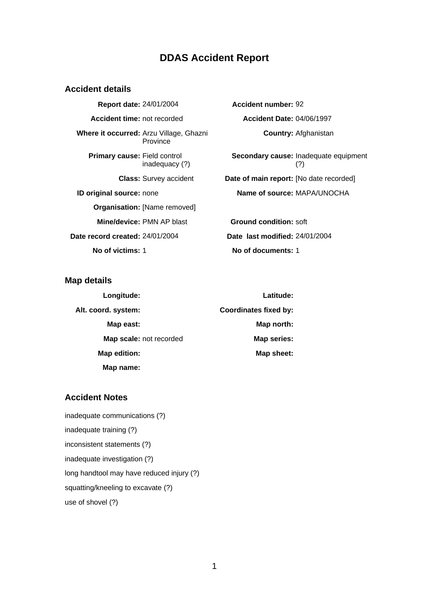# **DDAS Accident Report**

## **Accident details**

**Report date:** 24/01/2004 **Accident number:** 92 **Accident time:** not recorded **Accident Date:** 04/06/1997 **Where it occurred:** Arzu Village, Ghazni Province **Primary cause:** Field control inadequacy (?) **ID original source:** none **Name of source:** MAPA/UNOCHA **Organisation: [Name removed] Mine/device:** PMN AP blast **Ground condition:** soft **Date record created:** 24/01/2004 **Date last modified:** 24/01/2004 **No of victims:** 1 **No of documents:** 1

**Country:** Afghanistan **Secondary cause:** Inadequate equipment (?) **Class:** Survey accident **Date of main report:** [No date recorded]

## **Map details**

| Longitude:              | Latitude:                    |
|-------------------------|------------------------------|
| Alt. coord. system:     | <b>Coordinates fixed by:</b> |
| Map east:               | Map north:                   |
| Map scale: not recorded | <b>Map series:</b>           |
| Map edition:            | Map sheet:                   |
| Map name:               |                              |

## **Accident Notes**

inadequate communications (?) inadequate training (?) inconsistent statements (?) inadequate investigation (?) long handtool may have reduced injury (?) squatting/kneeling to excavate (?) use of shovel (?)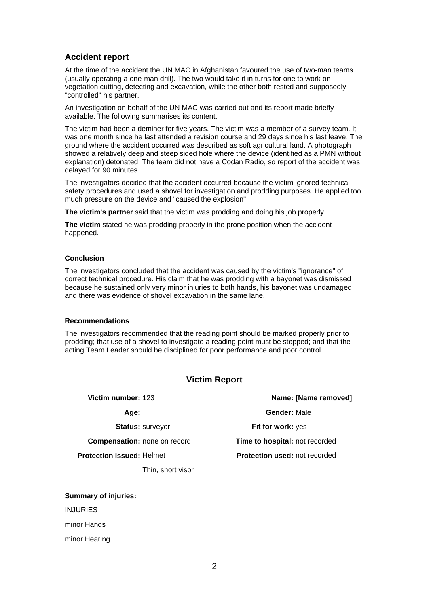## **Accident report**

At the time of the accident the UN MAC in Afghanistan favoured the use of two-man teams (usually operating a one-man drill). The two would take it in turns for one to work on vegetation cutting, detecting and excavation, while the other both rested and supposedly "controlled" his partner.

An investigation on behalf of the UN MAC was carried out and its report made briefly available. The following summarises its content.

The victim had been a deminer for five years. The victim was a member of a survey team. It was one month since he last attended a revision course and 29 days since his last leave. The ground where the accident occurred was described as soft agricultural land. A photograph showed a relatively deep and steep sided hole where the device (identified as a PMN without explanation) detonated. The team did not have a Codan Radio, so report of the accident was delayed for 90 minutes.

The investigators decided that the accident occurred because the victim ignored technical safety procedures and used a shovel for investigation and prodding purposes. He applied too much pressure on the device and "caused the explosion".

**The victim's partner** said that the victim was prodding and doing his job properly.

**The victim** stated he was prodding properly in the prone position when the accident happened.

#### **Conclusion**

The investigators concluded that the accident was caused by the victim's "ignorance" of correct technical procedure. His claim that he was prodding with a bayonet was dismissed because he sustained only very minor injuries to both hands, his bayonet was undamaged and there was evidence of shovel excavation in the same lane.

#### **Recommendations**

The investigators recommended that the reading point should be marked properly prior to prodding; that use of a shovel to investigate a reading point must be stopped; and that the acting Team Leader should be disciplined for poor performance and poor control.

### **Victim Report**

| Victim number: 123                  | Name: [Name removed]                  |
|-------------------------------------|---------------------------------------|
| Age:                                | <b>Gender: Male</b>                   |
| <b>Status: surveyor</b>             | <b>Fit for work: yes</b>              |
| <b>Compensation:</b> none on record | <b>Time to hospital: not recorded</b> |
| <b>Protection issued: Helmet</b>    | <b>Protection used: not recorded</b>  |
| Thin, short visor                   |                                       |

#### **Summary of injuries:**

INJURIES

minor Hands

minor Hearing